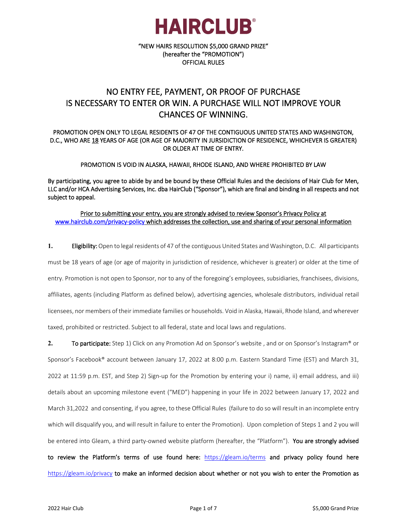

"NEW HAIRS RESOLUTION \$5,000 GRAND PRIZE" (hereafter the "PROMOTION") OFFICIAL RULES

#### NO ENTRY FEE, PAYMENT, OR PROOF OF PURCHASE IS NECESSARY TO ENTER OR WIN. A PURCHASE WILL NOT IMPROVE YOUR CHANCES OF WINNING.

#### PROMOTION OPEN ONLY TO LEGAL RESIDENTS OF 47 OF THE CONTIGUOUS UNITED STATES AND WASHINGTON, D.C., WHO ARE 18 YEARS OF AGE (OR AGE OF MAJORITY IN JURSIDICTION OF RESIDENCE, WHICHEVER IS GREATER) OR OLDER AT TIME OF ENTRY.

PROMOTION IS VOID IN ALASKA, HAWAII, RHODE ISLAND, AND WHERE PROHIBITED BY LAW

By participating, you agree to abide by and be bound by these Official Rules and the decisions of Hair Club for Men, LLC and/or HCA Advertising Services, Inc. dba HairClub ("Sponsor"), which are final and binding in all respects and not subject to appeal.

#### Prior to submitting your entry, you are strongly advised to review Sponsor's Privacy Policy at [www.hairclub.com/privacy-policy](http://www.hairclub.com/privacy-policy) which addresses the collection, use and sharing of your personal information

**1.** Eligibility: Open to legal residents of 47 of the contiguous United States and Washington, D.C. All participants must be 18 years of age (or age of majority in jurisdiction of residence, whichever is greater) or older at the time of entry. Promotion is not open to Sponsor, nor to any of the foregoing's employees, subsidiaries, franchisees, divisions, affiliates, agents (including Platform as defined below), advertising agencies, wholesale distributors, individual retail licensees, nor members of their immediate families or households. Void in Alaska, Hawaii, Rhode Island, and wherever taxed, prohibited or restricted. Subject to all federal, state and local laws and regulations.

**2.** To participate: Step 1) Click on any Promotion Ad on Sponsor's website , and or on Sponsor's Instagram® or Sponsor's Facebook® account between January 17, 2022 at 8:00 p.m. Eastern Standard Time (EST) and March 31, 2022 at 11:59 p.m. EST, and Step 2) Sign-up for the Promotion by entering your i) name, ii) email address, and iii) details about an upcoming milestone event ("MED") happening in your life in 2022 between January 17, 2022 and March 31,2022 and consenting, if you agree, to these Official Rules (failure to do so will result in an incomplete entry which will disqualify you, and will result in failure to enter the Promotion). Upon completion of Steps 1 and 2 you will be entered into Gleam, a third party-owned website platform (hereafter, the "Platform"). You are strongly advised to review the Platform's terms of use found here: <https://gleam.io/terms> and privacy policy found here <https://gleam.io/privacy>to make an informed decision about whether or not you wish to enter the Promotion as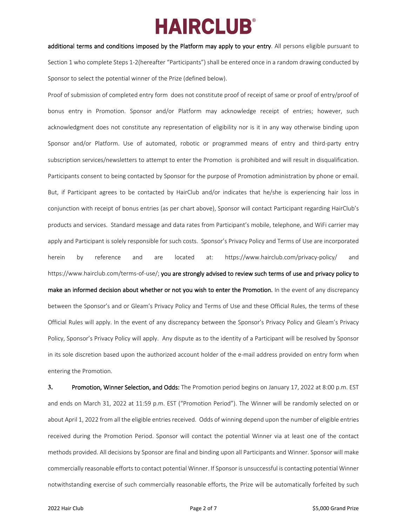additional terms and conditions imposed by the Platform may apply to your entry. All persons eligible pursuant to Section 1 who complete Steps 1-2(hereafter "Participants") shall be entered once in a random drawing conducted by Sponsor to select the potential winner of the Prize (defined below).

Proof of submission of completed entry form does not constitute proof of receipt of same or proof of entry/proof of bonus entry in Promotion. Sponsor and/or Platform may acknowledge receipt of entries; however, such acknowledgment does not constitute any representation of eligibility nor is it in any way otherwise binding upon Sponsor and/or Platform. Use of automated, robotic or programmed means of entry and third-party entry subscription services/newsletters to attempt to enter the Promotion is prohibited and will result in disqualification. Participants consent to being contacted by Sponsor for the purpose of Promotion administration by phone or email. But, if Participant agrees to be contacted by HairClub and/or indicates that he/she is experiencing hair loss in conjunction with receipt of bonus entries (as per chart above), Sponsor will contact Participant regarding HairClub's products and services. Standard message and data rates from Participant's mobile, telephone, and WiFi carrier may apply and Participant is solely responsible for such costs. Sponsor's Privacy Policy and Terms of Use are incorporated herein by reference and are located at: <https://www.hairclub.com/privacy-policy/> and [https://www.hairclub.com/terms-of-use/;](https://www.hairclub.com/terms-of-use/) you are strongly advised to review such terms of use and privacy policy to make an informed decision about whether or not you wish to enter the Promotion. In the event of any discrepancy between the Sponsor's and or Gleam's Privacy Policy and Terms of Use and these Official Rules, the terms of these Official Rules will apply. In the event of any discrepancy between the Sponsor's Privacy Policy and Gleam's Privacy Policy, Sponsor's Privacy Policy will apply. Any dispute as to the identity of a Participant will be resolved by Sponsor in its sole discretion based upon the authorized account holder of the e-mail address provided on entry form when entering the Promotion.

**3.** Promotion, Winner Selection, and Odds: The Promotion period begins on January 17, 2022 at 8:00 p.m. EST and ends on March 31, 2022 at 11:59 p.m. EST ("Promotion Period"). The Winner will be randomly selected on or about April 1, 2022 from all the eligible entries received. Odds of winning depend upon the number of eligible entries received during the Promotion Period. Sponsor will contact the potential Winner via at least one of the contact methods provided. All decisions by Sponsor are final and binding upon all Participants and Winner. Sponsor will make commercially reasonable effortsto contact potential Winner. If Sponsor is unsuccessful is contacting potential Winner notwithstanding exercise of such commercially reasonable efforts, the Prize will be automatically forfeited by such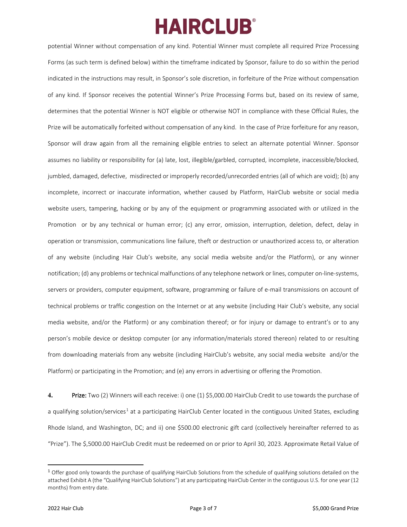potential Winner without compensation of any kind. Potential Winner must complete all required Prize Processing Forms (as such term is defined below) within the timeframe indicated by Sponsor, failure to do so within the period indicated in the instructions may result, in Sponsor's sole discretion, in forfeiture of the Prize without compensation of any kind. If Sponsor receives the potential Winner's Prize Processing Forms but, based on its review of same, determines that the potential Winner is NOT eligible or otherwise NOT in compliance with these Official Rules, the Prize will be automatically forfeited without compensation of any kind. In the case of Prize forfeiture for any reason, Sponsor will draw again from all the remaining eligible entries to select an alternate potential Winner. Sponsor assumes no liability or responsibility for (a) late, lost, illegible/garbled, corrupted, incomplete, inaccessible/blocked, jumbled, damaged, defective, misdirected or improperly recorded/unrecorded entries (all of which are void); (b) any incomplete, incorrect or inaccurate information, whether caused by Platform, HairClub website or social media website users, tampering, hacking or by any of the equipment or programming associated with or utilized in the Promotion or by any technical or human error; (c) any error, omission, interruption, deletion, defect, delay in operation or transmission, communications line failure, theft or destruction or unauthorized access to, or alteration of any website (including Hair Club's website, any social media website and/or the Platform), or any winner notification; (d) any problems or technical malfunctions of any telephone network or lines, computer on-line-systems, servers or providers, computer equipment, software, programming or failure of e-mail transmissions on account of technical problems or traffic congestion on the Internet or at any website (including Hair Club's website, any social media website, and/or the Platform) or any combination thereof; or for injury or damage to entrant's or to any person's mobile device or desktop computer (or any information/materials stored thereon) related to or resulting from downloading materials from any website (including HairClub's website, any social media website and/or the Platform) or participating in the Promotion; and (e) any errors in advertising or offering the Promotion.

**4.** Prize: Two (2) Winners will each receive: i) one (1) \$5,000.00 HairClub Credit to use towards the purchase of a qualifying solution/services<sup>[1](#page-2-0)</sup> at a participating HairClub Center located in the contiguous United States, excluding Rhode Island, and Washington, DC; and ii) one \$500.00 electronic gift card (collectively hereinafter referred to as "Prize"). The \$,5000.00 HairClub Credit must be redeemed on or prior to April 30, 2023. Approximate Retail Value of

<span id="page-2-0"></span><sup>&</sup>lt;sup>1</sup> Offer good only towards the purchase of qualifying HairClub Solutions from the schedule of qualifying solutions detailed on the attached Exhibit A (the "Qualifying HairClub Solutions") at any participating HairClub Center in the contiguous U.S. for one year (12 months) from entry date.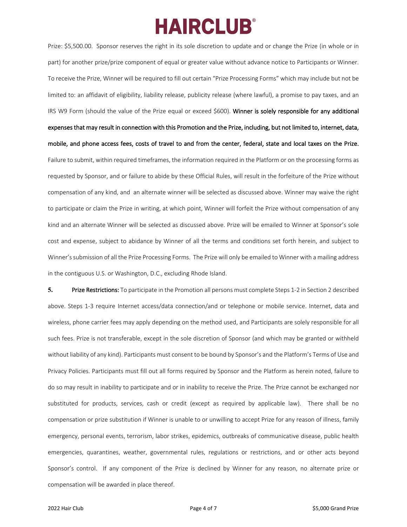Prize: \$5,500.00. Sponsor reserves the right in its sole discretion to update and or change the Prize (in whole or in part) for another prize/prize component of equal or greater value without advance notice to Participants or Winner. To receive the Prize, Winner will be required to fill out certain "Prize Processing Forms" which may include but not be limited to: an affidavit of eligibility, liability release, publicity release (where lawful), a promise to pay taxes, and an IRS W9 Form (should the value of the Prize equal or exceed \$600). Winner is solely responsible for any additional expenses that may result in connection with this Promotion and the Prize, including, but not limited to, internet, data, mobile, and phone access fees, costs of travel to and from the center, federal, state and local taxes on the Prize. Failure to submit, within required timeframes, the information required in the Platform or on the processing forms as requested by Sponsor, and or failure to abide by these Official Rules, will result in the forfeiture of the Prize without compensation of any kind, and an alternate winner will be selected as discussed above. Winner may waive the right to participate or claim the Prize in writing, at which point, Winner will forfeit the Prize without compensation of any kind and an alternate Winner will be selected as discussed above. Prize will be emailed to Winner at Sponsor's sole cost and expense, subject to abidance by Winner of all the terms and conditions set forth herein, and subject to Winner's submission of all the Prize Processing Forms. The Prize will only be emailed to Winner with a mailing address in the contiguous U.S. or Washington, D.C., excluding Rhode Island.

**5.** Prize Restrictions: To participate in the Promotion all persons must complete Steps 1-2 in Section 2 described above. Steps 1-3 require Internet access/data connection/and or telephone or mobile service. Internet, data and wireless, phone carrier fees may apply depending on the method used, and Participants are solely responsible for all such fees. Prize is not transferable, except in the sole discretion of Sponsor (and which may be granted or withheld without liability of any kind). Participants must consent to be bound by Sponsor's and the Platform's Terms of Use and Privacy Policies. Participants must fill out all forms required by Sponsor and the Platform as herein noted, failure to do so may result in inability to participate and or in inability to receive the Prize. The Prize cannot be exchanged nor substituted for products, services, cash or credit (except as required by applicable law). There shall be no compensation or prize substitution if Winner is unable to or unwilling to accept Prize for any reason of illness, family emergency, personal events, terrorism, labor strikes, epidemics, outbreaks of communicative disease, public health emergencies, quarantines, weather, governmental rules, regulations or restrictions, and or other acts beyond Sponsor's control. If any component of the Prize is declined by Winner for any reason, no alternate prize or compensation will be awarded in place thereof.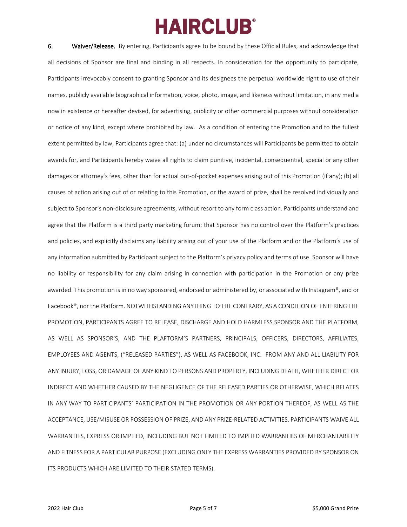6. Waiver/Release. By entering, Participants agree to be bound by these Official Rules, and acknowledge that all decisions of Sponsor are final and binding in all respects. In consideration for the opportunity to participate, Participants irrevocably consent to granting Sponsor and its designees the perpetual worldwide right to use of their names, publicly available biographical information, voice, photo, image, and likeness without limitation, in any media now in existence or hereafter devised, for advertising, publicity or other commercial purposes without consideration or notice of any kind, except where prohibited by law. As a condition of entering the Promotion and to the fullest extent permitted by law, Participants agree that: (a) under no circumstances will Participants be permitted to obtain awards for, and Participants hereby waive all rights to claim punitive, incidental, consequential, special or any other damages or attorney's fees, other than for actual out-of-pocket expenses arising out of this Promotion (if any); (b) all causes of action arising out of or relating to this Promotion, or the award of prize, shall be resolved individually and subject to Sponsor's non-disclosure agreements, without resort to any form class action. Participants understand and agree that the Platform is a third party marketing forum; that Sponsor has no control over the Platform's practices and policies, and explicitly disclaims any liability arising out of your use of the Platform and or the Platform's use of any information submitted by Participant subject to the Platform's privacy policy and terms of use. Sponsor will have no liability or responsibility for any claim arising in connection with participation in the Promotion or any prize awarded. This promotion is in no way sponsored, endorsed or administered by, or associated with Instagram®, and or Facebook®, nor the Platform. NOTWITHSTANDING ANYTHING TO THE CONTRARY, AS A CONDITION OF ENTERING THE PROMOTION, PARTICIPANTS AGREE TO RELEASE, DISCHARGE AND HOLD HARMLESS SPONSOR AND THE PLATFORM, AS WELL AS SPONSOR'S, AND THE PLAFTORM'S PARTNERS, PRINCIPALS, OFFICERS, DIRECTORS, AFFILIATES, EMPLOYEES AND AGENTS, ("RELEASED PARTIES"), AS WELL AS FACEBOOK, INC. FROM ANY AND ALL LIABILITY FOR ANY INJURY, LOSS, OR DAMAGE OF ANY KIND TO PERSONS AND PROPERTY, INCLUDING DEATH, WHETHER DIRECT OR INDIRECT AND WHETHER CAUSED BY THE NEGLIGENCE OF THE RELEASED PARTIES OR OTHERWISE, WHICH RELATES IN ANY WAY TO PARTICIPANTS' PARTICIPATION IN THE PROMOTION OR ANY PORTION THEREOF, AS WELL AS THE ACCEPTANCE, USE/MISUSE OR POSSESSION OF PRIZE, AND ANY PRIZE-RELATED ACTIVITIES. PARTICIPANTS WAIVE ALL WARRANTIES, EXPRESS OR IMPLIED, INCLUDING BUT NOT LIMITED TO IMPLIED WARRANTIES OF MERCHANTABILITY AND FITNESS FOR A PARTICULAR PURPOSE (EXCLUDING ONLY THE EXPRESS WARRANTIES PROVIDED BY SPONSOR ON ITS PRODUCTS WHICH ARE LIMITED TO THEIR STATED TERMS).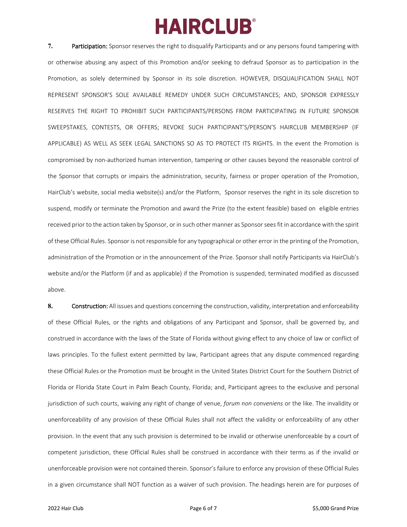**7.** Participation: Sponsor reserves the right to disqualify Participants and or any persons found tampering with or otherwise abusing any aspect of this Promotion and/or seeking to defraud Sponsor as to participation in the Promotion, as solely determined by Sponsor in its sole discretion. HOWEVER, DISQUALIFICATION SHALL NOT REPRESENT SPONSOR'S SOLE AVAILABLE REMEDY UNDER SUCH CIRCUMSTANCES; AND, SPONSOR EXPRESSLY RESERVES THE RIGHT TO PROHIBIT SUCH PARTICIPANTS/PERSONS FROM PARTICIPATING IN FUTURE SPONSOR SWEEPSTAKES, CONTESTS, OR OFFERS; REVOKE SUCH PARTICIPANT'S/PERSON'S HAIRCLUB MEMBERSHIP (IF APPLICABLE) AS WELL AS SEEK LEGAL SANCTIONS SO AS TO PROTECT ITS RIGHTS. In the event the Promotion is compromised by non-authorized human intervention, tampering or other causes beyond the reasonable control of the Sponsor that corrupts or impairs the administration, security, fairness or proper operation of the Promotion, HairClub's website, social media website(s) and/or the Platform, Sponsor reserves the right in its sole discretion to suspend, modify or terminate the Promotion and award the Prize (to the extent feasible) based on eligible entries received prior to the action taken by Sponsor, or in such other manner as Sponsor sees fit in accordance with the spirit of these Official Rules. Sponsor is not responsible for any typographical or other error in the printing of the Promotion, administration of the Promotion or in the announcement of the Prize. Sponsor shall notify Participants via HairClub's website and/or the Platform (if and as applicable) if the Promotion is suspended, terminated modified as discussed above.

**8.** Construction: All issues and questions concerning the construction, validity, interpretation and enforceability of these Official Rules, or the rights and obligations of any Participant and Sponsor, shall be governed by, and construed in accordance with the laws of the State of Florida without giving effect to any choice of law or conflict of laws principles. To the fullest extent permitted by law, Participant agrees that any dispute commenced regarding these Official Rules or the Promotion must be brought in the United States District Court for the Southern District of Florida or Florida State Court in Palm Beach County, Florida; and, Participant agrees to the exclusive and personal jurisdiction of such courts, waiving any right of change of venue, *forum non conveniens* or the like. The invalidity or unenforceability of any provision of these Official Rules shall not affect the validity or enforceability of any other provision. In the event that any such provision is determined to be invalid or otherwise unenforceable by a court of competent jurisdiction, these Official Rules shall be construed in accordance with their terms as if the invalid or unenforceable provision were not contained therein. Sponsor's failure to enforce any provision of these Official Rules in a given circumstance shall NOT function as a waiver of such provision. The headings herein are for purposes of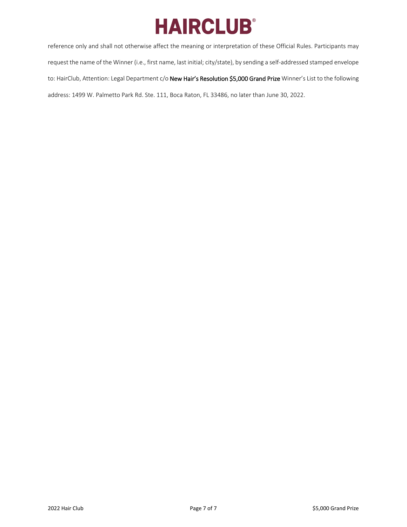reference only and shall not otherwise affect the meaning or interpretation of these Official Rules. Participants may request the name of the Winner (i.e., first name, last initial; city/state), by sending a self-addressed stamped envelope to: HairClub, Attention: Legal Department c/o New Hair's Resolution \$5,000 Grand Prize Winner's List to the following address: 1499 W. Palmetto Park Rd. Ste. 111, Boca Raton, FL 33486, no later than June 30, 2022.